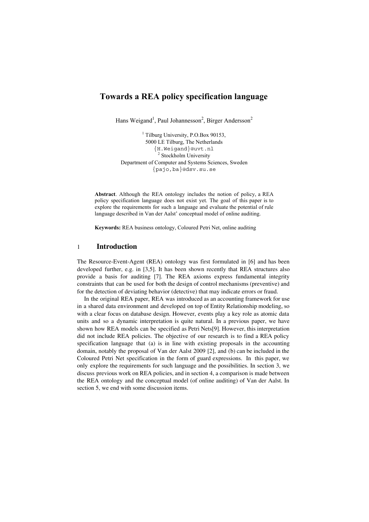# **Towards a REA policy specification language**

Hans Weigand<sup>1</sup>, Paul Johannesson<sup>2</sup>, Birger Andersson<sup>2</sup>

<sup>1</sup> Tilburg University, P.O.Box 90153, 5000 LE Tilburg, The Netherlands {H.Weigand}@uvt.nl <sup>2</sup> Stockholm University Department of Computer and Systems Sciences, Sweden {pajo,ba}@dsv.su.se

**Abstract**. Although the REA ontology includes the notion of policy, a REA policy specification language does not exist yet. The goal of this paper is to explore the requirements for such a language and evaluate the potential of rule language described in Van der Aalst' conceptual model of online auditing.

**Keywords:** REA business ontology, Coloured Petri Net, online auditing

#### 1 **Introduction**

The Resource-Event-Agent (REA) ontology was first formulated in [6] and has been developed further, e.g. in [3,5]. It has been shown recently that REA structures also provide a basis for auditing [7]. The REA axioms express fundamental integrity constraints that can be used for both the design of control mechanisms (preventive) and for the detection of deviating behavior (detective) that may indicate errors or fraud.

In the original REA paper, REA was introduced as an accounting framework for use in a shared data environment and developed on top of Entity Relationship modeling, so with a clear focus on database design. However, events play a key role as atomic data units and so a dynamic interpretation is quite natural. In a previous paper, we have shown how REA models can be specified as Petri Nets[9]. However, this interpretation did not include REA policies. The objective of our research is to find a REA policy specification language that (a) is in line with existing proposals in the accounting domain, notably the proposal of Van der Aalst 2009 [2], and (b) can be included in the Coloured Petri Net specification in the form of guard expressions. In this paper, we only explore the requirements for such language and the possibilities. In section 3, we discuss previous work on REA policies, and in section 4, a comparison is made between the REA ontology and the conceptual model (of online auditing) of Van der Aalst. In section 5, we end with some discussion items.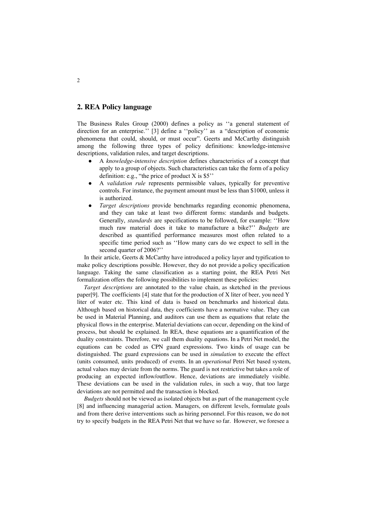# **2. REA Policy language**

The Business Rules Group (2000) defines a policy as ''a general statement of direction for an enterprise.'' [3] define a ''policy'' as a "description of economic phenomena that could, should, or must occur". Geerts and McCarthy distinguish among the following three types of policy definitions: knowledge-intensive descriptions, validation rules, and target descriptions.

- A *knowledge-intensive description* defines characteristics of a concept that apply to a group of objects. Such characteristics can take the form of a policy definition: e.g., "the price of product  $X$  is  $$5$ "
- A *validation rule* represents permissible values, typically for preventive controls. For instance, the payment amount must be less than \$1000, unless it is authorized.
- *Target descriptions* provide benchmarks regarding economic phenomena, and they can take at least two different forms: standards and budgets. Generally, *standards* are specifications to be followed, for example: ''How much raw material does it take to manufacture a bike?'' *Budgets* are described as quantified performance measures most often related to a specific time period such as ''How many cars do we expect to sell in the second quarter of 2006?''

In their article, Geerts & McCarthy have introduced a policy layer and typification to make policy descriptions possible. However, they do not provide a policy specification language. Taking the same classification as a starting point, the REA Petri Net formalization offers the following possibilities to implement these policies:

*Target descriptions* are annotated to the value chain, as sketched in the previous paper[9]. The coefficients [4] state that for the production of X liter of beer, you need Y liter of water etc. This kind of data is based on benchmarks and historical data. Although based on historical data, they coefficients have a normative value. They can be used in Material Planning, and auditors can use them as equations that relate the physical flows in the enterprise. Material deviations can occur, depending on the kind of process, but should be explained. In REA, these equations are a quantification of the duality constraints. Therefore, we call them duality equations. In a Petri Net model, the equations can be coded as CPN guard expressions. Two kinds of usage can be distinguished. The guard expressions can be used in *simulation* to execute the effect (units consumed, units produced) of events. In an *operational* Petri Net based system, actual values may deviate from the norms. The guard is not restrictive but takes a role of producing an expected inflow/outflow. Hence, deviations are immediately visible. These deviations can be used in the validation rules, in such a way, that too large deviations are not permitted and the transaction is blocked.

*Budgets* should not be viewed as isolated objects but as part of the management cycle [8] and influencing managerial action. Managers, on different levels, formulate goals and from there derive interventions such as hiring personnel. For this reason, we do not try to specify budgets in the REA Petri Net that we have so far. However, we foresee a

2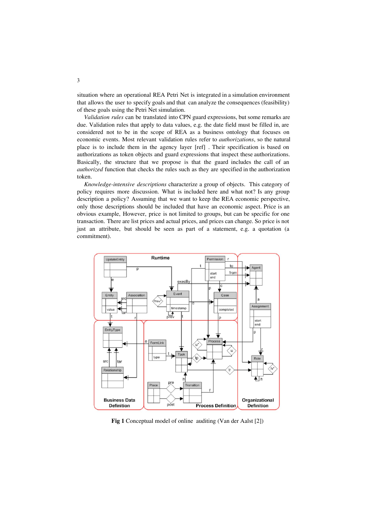situation where an operational REA Petri Net is integrated in a simulation environment that allows the user to specify goals and that can analyze the consequences (feasibility) of these goals using the Petri Net simulation.

*Validation rules* can be translated into CPN guard expressions, but some remarks are due. Validation rules that apply to data values, e.g. the date field must be filled in, are considered not to be in the scope of REA as a business ontology that focuses on economic events. Most relevant validation rules refer to *authorizations*, so the natural place is to include them in the agency layer [ref] . Their specification is based on authorizations as token objects and guard expressions that inspect these authorizations. Basically, the structure that we propose is that the guard includes the call of an *authorized* function that checks the rules such as they are specified in the authorization token.

*Knowledge-intensive descriptions* characterize a group of objects. This category of policy requires more discussion. What is included here and what not? Is any group description a policy? Assuming that we want to keep the REA economic perspective, only those descriptions should be included that have an economic aspect. Price is an obvious example, However, price is not limited to groups, but can be specific for one transaction. There are list prices and actual prices, and prices can change. So price is not just an attribute, but should be seen as part of a statement, e.g. a quotation (a commitment).



**Fig 1** Conceptual model of online auditing (Van der Aalst [2])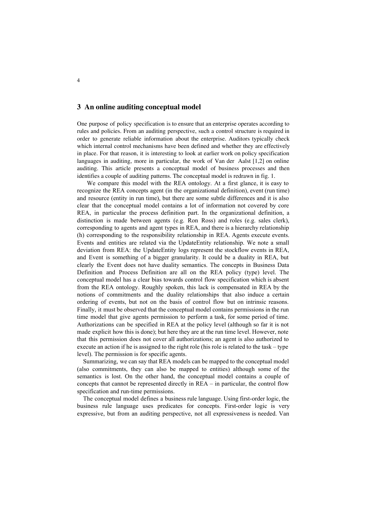# **3 An online auditing conceptual model**

One purpose of policy specification is to ensure that an enterprise operates according to rules and policies. From an auditing perspective, such a control structure is required in order to generate reliable information about the enterprise. Auditors typically check which internal control mechanisms have been defined and whether they are effectively in place. For that reason, it is interesting to look at earlier work on policy specification languages in auditing, more in particular, the work of Van der Aalst [1,2] on online auditing. This article presents a conceptual model of business processes and then identifies a couple of auditing patterns. The conceptual model is redrawn in fig. 1.

We compare this model with the REA ontology. At a first glance, it is easy to recognize the REA concepts agent (in the organizational definition), event (run time) and resource (entity in run time), but there are some subtle differences and it is also clear that the conceptual model contains a lot of information not covered by core REA, in particular the process definition part. In the organizational definition, a distinction is made between agents (e.g. Ron Ross) and roles (e.g. sales clerk), corresponding to agents and agent types in REA, and there is a hierarchy relationship (h) corresponding to the responsibility relationship in REA. Agents execute events. Events and entities are related via the UpdateEntity relationship. We note a small deviation from REA: the UpdateEntity logs represent the stockflow events in REA, and Event is something of a bigger granularity. It could be a duality in REA, but clearly the Event does not have duality semantics. The concepts in Business Data Definition and Process Definition are all on the REA policy (type) level. The conceptual model has a clear bias towards control flow specification which is absent from the REA ontology. Roughly spoken, this lack is compensated in REA by the notions of commitments and the duality relationships that also induce a certain ordering of events, but not on the basis of control flow but on intrinsic reasons. Finally, it must be observed that the conceptual model contains permissions in the run time model that give agents permission to perform a task, for some period of time. Authorizations can be specified in REA at the policy level (although so far it is not made explicit how this is done); but here they are at the run time level. However, note that this permission does not cover all authorizations; an agent is also authorized to execute an action if he is assigned to the right role (his role is related to the task – type level). The permission is for specific agents.

Summarizing, we can say that REA models can be mapped to the conceptual model (also commitments, they can also be mapped to entities) although some of the semantics is lost. On the other hand, the conceptual model contains a couple of concepts that cannot be represented directly in REA – in particular, the control flow specification and run-time permissions.

The conceptual model defines a business rule language. Using first-order logic, the business rule language uses predicates for concepts. First-order logic is very expressive, but from an auditing perspective, not all expressiveness is needed. Van